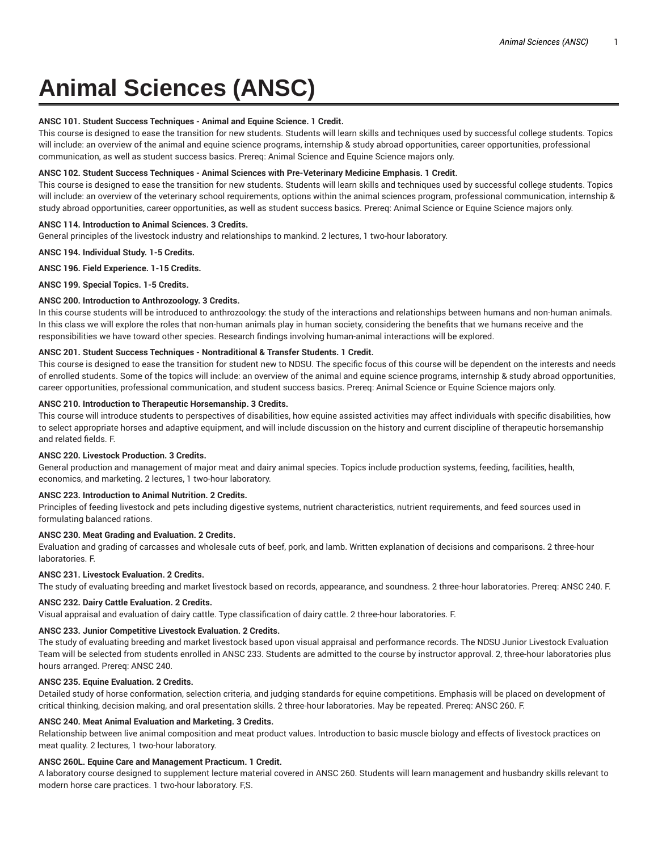# **Animal Sciences (ANSC)**

## **ANSC 101. Student Success Techniques - Animal and Equine Science. 1 Credit.**

This course is designed to ease the transition for new students. Students will learn skills and techniques used by successful college students. Topics will include: an overview of the animal and equine science programs, internship & study abroad opportunities, career opportunities, professional communication, as well as student success basics. Prereq: Animal Science and Equine Science majors only.

## **ANSC 102. Student Success Techniques - Animal Sciences with Pre-Veterinary Medicine Emphasis. 1 Credit.**

This course is designed to ease the transition for new students. Students will learn skills and techniques used by successful college students. Topics will include: an overview of the veterinary school requirements, options within the animal sciences program, professional communication, internship & study abroad opportunities, career opportunities, as well as student success basics. Prereq: Animal Science or Equine Science majors only.

#### **ANSC 114. Introduction to Animal Sciences. 3 Credits.**

General principles of the livestock industry and relationships to mankind. 2 lectures, 1 two-hour laboratory.

**ANSC 194. Individual Study. 1-5 Credits.**

#### **ANSC 196. Field Experience. 1-15 Credits.**

**ANSC 199. Special Topics. 1-5 Credits.**

## **ANSC 200. Introduction to Anthrozoology. 3 Credits.**

In this course students will be introduced to anthrozoology: the study of the interactions and relationships between humans and non-human animals. In this class we will explore the roles that non-human animals play in human society, considering the benefits that we humans receive and the responsibilities we have toward other species. Research findings involving human-animal interactions will be explored.

## **ANSC 201. Student Success Techniques - Nontraditional & Transfer Students. 1 Credit.**

This course is designed to ease the transition for student new to NDSU. The specific focus of this course will be dependent on the interests and needs of enrolled students. Some of the topics will include: an overview of the animal and equine science programs, internship & study abroad opportunities, career opportunities, professional communication, and student success basics. Prereq: Animal Science or Equine Science majors only.

## **ANSC 210. Introduction to Therapeutic Horsemanship. 3 Credits.**

This course will introduce students to perspectives of disabilities, how equine assisted activities may affect individuals with specific disabilities, how to select appropriate horses and adaptive equipment, and will include discussion on the history and current discipline of therapeutic horsemanship and related fields. F.

## **ANSC 220. Livestock Production. 3 Credits.**

General production and management of major meat and dairy animal species. Topics include production systems, feeding, facilities, health, economics, and marketing. 2 lectures, 1 two-hour laboratory.

## **ANSC 223. Introduction to Animal Nutrition. 2 Credits.**

Principles of feeding livestock and pets including digestive systems, nutrient characteristics, nutrient requirements, and feed sources used in formulating balanced rations.

## **ANSC 230. Meat Grading and Evaluation. 2 Credits.**

Evaluation and grading of carcasses and wholesale cuts of beef, pork, and lamb. Written explanation of decisions and comparisons. 2 three-hour laboratories. F.

#### **ANSC 231. Livestock Evaluation. 2 Credits.**

The study of evaluating breeding and market livestock based on records, appearance, and soundness. 2 three-hour laboratories. Prereq: ANSC 240. F.

#### **ANSC 232. Dairy Cattle Evaluation. 2 Credits.**

Visual appraisal and evaluation of dairy cattle. Type classification of dairy cattle. 2 three-hour laboratories. F.

## **ANSC 233. Junior Competitive Livestock Evaluation. 2 Credits.**

The study of evaluating breeding and market livestock based upon visual appraisal and performance records. The NDSU Junior Livestock Evaluation Team will be selected from students enrolled in ANSC 233. Students are admitted to the course by instructor approval. 2, three-hour laboratories plus hours arranged. Prereq: ANSC 240.

#### **ANSC 235. Equine Evaluation. 2 Credits.**

Detailed study of horse conformation, selection criteria, and judging standards for equine competitions. Emphasis will be placed on development of critical thinking, decision making, and oral presentation skills. 2 three-hour laboratories. May be repeated. Prereq: ANSC 260. F.

#### **ANSC 240. Meat Animal Evaluation and Marketing. 3 Credits.**

Relationship between live animal composition and meat product values. Introduction to basic muscle biology and effects of livestock practices on meat quality. 2 lectures, 1 two-hour laboratory.

#### **ANSC 260L. Equine Care and Management Practicum. 1 Credit.**

A laboratory course designed to supplement lecture material covered in ANSC 260. Students will learn management and husbandry skills relevant to modern horse care practices. 1 two-hour laboratory. F,S.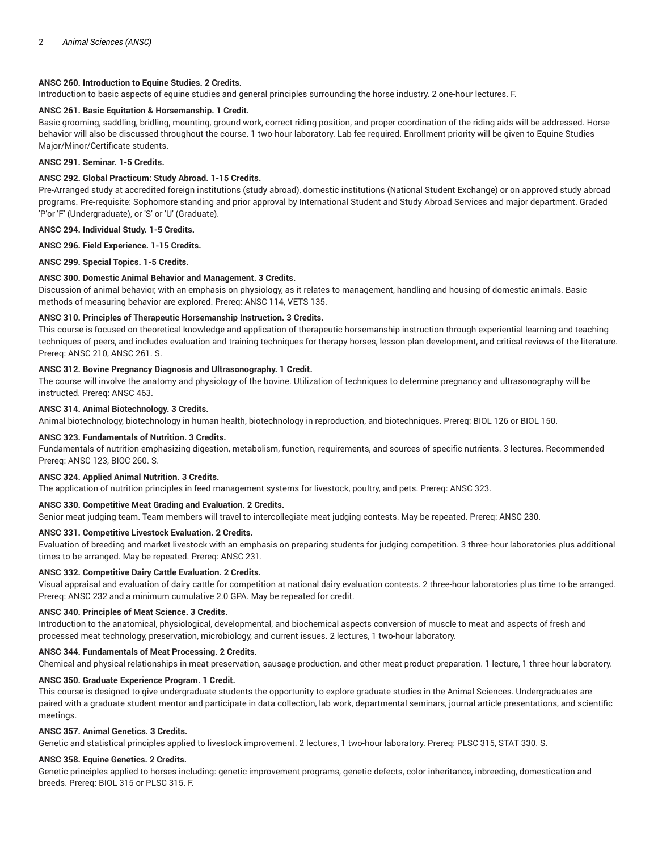## **ANSC 260. Introduction to Equine Studies. 2 Credits.**

Introduction to basic aspects of equine studies and general principles surrounding the horse industry. 2 one-hour lectures. F.

#### **ANSC 261. Basic Equitation & Horsemanship. 1 Credit.**

Basic grooming, saddling, bridling, mounting, ground work, correct riding position, and proper coordination of the riding aids will be addressed. Horse behavior will also be discussed throughout the course. 1 two-hour laboratory. Lab fee required. Enrollment priority will be given to Equine Studies Major/Minor/Certificate students.

#### **ANSC 291. Seminar. 1-5 Credits.**

## **ANSC 292. Global Practicum: Study Abroad. 1-15 Credits.**

Pre-Arranged study at accredited foreign institutions (study abroad), domestic institutions (National Student Exchange) or on approved study abroad programs. Pre-requisite: Sophomore standing and prior approval by International Student and Study Abroad Services and major department. Graded 'P'or 'F' (Undergraduate), or 'S' or 'U' (Graduate).

**ANSC 294. Individual Study. 1-5 Credits.**

## **ANSC 296. Field Experience. 1-15 Credits.**

**ANSC 299. Special Topics. 1-5 Credits.**

#### **ANSC 300. Domestic Animal Behavior and Management. 3 Credits.**

Discussion of animal behavior, with an emphasis on physiology, as it relates to management, handling and housing of domestic animals. Basic methods of measuring behavior are explored. Prereq: ANSC 114, VETS 135.

# **ANSC 310. Principles of Therapeutic Horsemanship Instruction. 3 Credits.**

This course is focused on theoretical knowledge and application of therapeutic horsemanship instruction through experiential learning and teaching techniques of peers, and includes evaluation and training techniques for therapy horses, lesson plan development, and critical reviews of the literature. Prereq: ANSC 210, ANSC 261. S.

## **ANSC 312. Bovine Pregnancy Diagnosis and Ultrasonography. 1 Credit.**

The course will involve the anatomy and physiology of the bovine. Utilization of techniques to determine pregnancy and ultrasonography will be instructed. Prereq: ANSC 463.

#### **ANSC 314. Animal Biotechnology. 3 Credits.**

Animal biotechnology, biotechnology in human health, biotechnology in reproduction, and biotechniques. Prereq: BIOL 126 or BIOL 150.

## **ANSC 323. Fundamentals of Nutrition. 3 Credits.**

Fundamentals of nutrition emphasizing digestion, metabolism, function, requirements, and sources of specific nutrients. 3 lectures. Recommended Prereq: ANSC 123, BIOC 260. S.

## **ANSC 324. Applied Animal Nutrition. 3 Credits.**

The application of nutrition principles in feed management systems for livestock, poultry, and pets. Prereq: ANSC 323.

#### **ANSC 330. Competitive Meat Grading and Evaluation. 2 Credits.**

Senior meat judging team. Team members will travel to intercollegiate meat judging contests. May be repeated. Prereq: ANSC 230.

#### **ANSC 331. Competitive Livestock Evaluation. 2 Credits.**

Evaluation of breeding and market livestock with an emphasis on preparing students for judging competition. 3 three-hour laboratories plus additional times to be arranged. May be repeated. Prereq: ANSC 231.

#### **ANSC 332. Competitive Dairy Cattle Evaluation. 2 Credits.**

Visual appraisal and evaluation of dairy cattle for competition at national dairy evaluation contests. 2 three-hour laboratories plus time to be arranged. Prereq: ANSC 232 and a minimum cumulative 2.0 GPA. May be repeated for credit.

#### **ANSC 340. Principles of Meat Science. 3 Credits.**

Introduction to the anatomical, physiological, developmental, and biochemical aspects conversion of muscle to meat and aspects of fresh and processed meat technology, preservation, microbiology, and current issues. 2 lectures, 1 two-hour laboratory.

#### **ANSC 344. Fundamentals of Meat Processing. 2 Credits.**

Chemical and physical relationships in meat preservation, sausage production, and other meat product preparation. 1 lecture, 1 three-hour laboratory.

#### **ANSC 350. Graduate Experience Program. 1 Credit.**

This course is designed to give undergraduate students the opportunity to explore graduate studies in the Animal Sciences. Undergraduates are paired with a graduate student mentor and participate in data collection, lab work, departmental seminars, journal article presentations, and scientific meetings.

## **ANSC 357. Animal Genetics. 3 Credits.**

Genetic and statistical principles applied to livestock improvement. 2 lectures, 1 two-hour laboratory. Prereq: PLSC 315, STAT 330. S.

#### **ANSC 358. Equine Genetics. 2 Credits.**

Genetic principles applied to horses including: genetic improvement programs, genetic defects, color inheritance, inbreeding, domestication and breeds. Prereq: BIOL 315 or PLSC 315. F.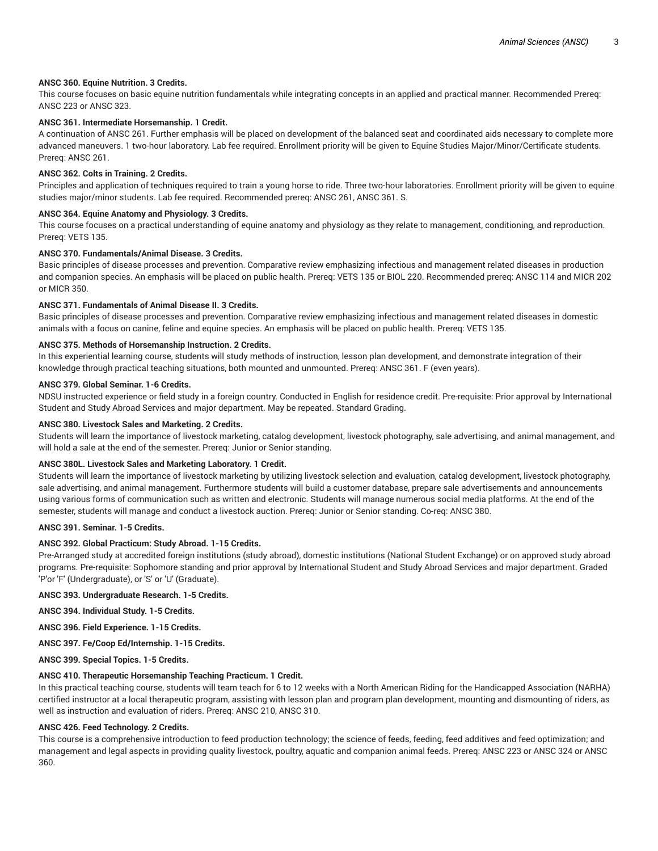## **ANSC 360. Equine Nutrition. 3 Credits.**

This course focuses on basic equine nutrition fundamentals while integrating concepts in an applied and practical manner. Recommended Prereq: ANSC 223 or ANSC 323.

## **ANSC 361. Intermediate Horsemanship. 1 Credit.**

A continuation of ANSC 261. Further emphasis will be placed on development of the balanced seat and coordinated aids necessary to complete more advanced maneuvers. 1 two-hour laboratory. Lab fee required. Enrollment priority will be given to Equine Studies Major/Minor/Certificate students. Prereq: ANSC 261.

#### **ANSC 362. Colts in Training. 2 Credits.**

Principles and application of techniques required to train a young horse to ride. Three two-hour laboratories. Enrollment priority will be given to equine studies major/minor students. Lab fee required. Recommended prereq: ANSC 261, ANSC 361. S.

#### **ANSC 364. Equine Anatomy and Physiology. 3 Credits.**

This course focuses on a practical understanding of equine anatomy and physiology as they relate to management, conditioning, and reproduction. Prereq: VETS 135.

## **ANSC 370. Fundamentals/Animal Disease. 3 Credits.**

Basic principles of disease processes and prevention. Comparative review emphasizing infectious and management related diseases in production and companion species. An emphasis will be placed on public health. Prereq: VETS 135 or BIOL 220. Recommended prereq: ANSC 114 and MICR 202 or MICR 350.

# **ANSC 371. Fundamentals of Animal Disease II. 3 Credits.**

Basic principles of disease processes and prevention. Comparative review emphasizing infectious and management related diseases in domestic animals with a focus on canine, feline and equine species. An emphasis will be placed on public health. Prereq: VETS 135.

#### **ANSC 375. Methods of Horsemanship Instruction. 2 Credits.**

In this experiential learning course, students will study methods of instruction, lesson plan development, and demonstrate integration of their knowledge through practical teaching situations, both mounted and unmounted. Prereq: ANSC 361. F (even years).

#### **ANSC 379. Global Seminar. 1-6 Credits.**

NDSU instructed experience or field study in a foreign country. Conducted in English for residence credit. Pre-requisite: Prior approval by International Student and Study Abroad Services and major department. May be repeated. Standard Grading.

#### **ANSC 380. Livestock Sales and Marketing. 2 Credits.**

Students will learn the importance of livestock marketing, catalog development, livestock photography, sale advertising, and animal management, and will hold a sale at the end of the semester. Prereq: Junior or Senior standing.

#### **ANSC 380L. Livestock Sales and Marketing Laboratory. 1 Credit.**

Students will learn the importance of livestock marketing by utilizing livestock selection and evaluation, catalog development, livestock photography, sale advertising, and animal management. Furthermore students will build a customer database, prepare sale advertisements and announcements using various forms of communication such as written and electronic. Students will manage numerous social media platforms. At the end of the semester, students will manage and conduct a livestock auction. Prereq: Junior or Senior standing. Co-req: ANSC 380.

#### **ANSC 391. Seminar. 1-5 Credits.**

#### **ANSC 392. Global Practicum: Study Abroad. 1-15 Credits.**

Pre-Arranged study at accredited foreign institutions (study abroad), domestic institutions (National Student Exchange) or on approved study abroad programs. Pre-requisite: Sophomore standing and prior approval by International Student and Study Abroad Services and major department. Graded 'P'or 'F' (Undergraduate), or 'S' or 'U' (Graduate).

#### **ANSC 393. Undergraduate Research. 1-5 Credits.**

**ANSC 394. Individual Study. 1-5 Credits.**

**ANSC 396. Field Experience. 1-15 Credits.**

**ANSC 397. Fe/Coop Ed/Internship. 1-15 Credits.**

**ANSC 399. Special Topics. 1-5 Credits.**

## **ANSC 410. Therapeutic Horsemanship Teaching Practicum. 1 Credit.**

In this practical teaching course, students will team teach for 6 to 12 weeks with a North American Riding for the Handicapped Association (NARHA) certified instructor at a local therapeutic program, assisting with lesson plan and program plan development, mounting and dismounting of riders, as well as instruction and evaluation of riders. Prereq: ANSC 210, ANSC 310.

## **ANSC 426. Feed Technology. 2 Credits.**

This course is a comprehensive introduction to feed production technology; the science of feeds, feeding, feed additives and feed optimization; and management and legal aspects in providing quality livestock, poultry, aquatic and companion animal feeds. Prereq: ANSC 223 or ANSC 324 or ANSC 360.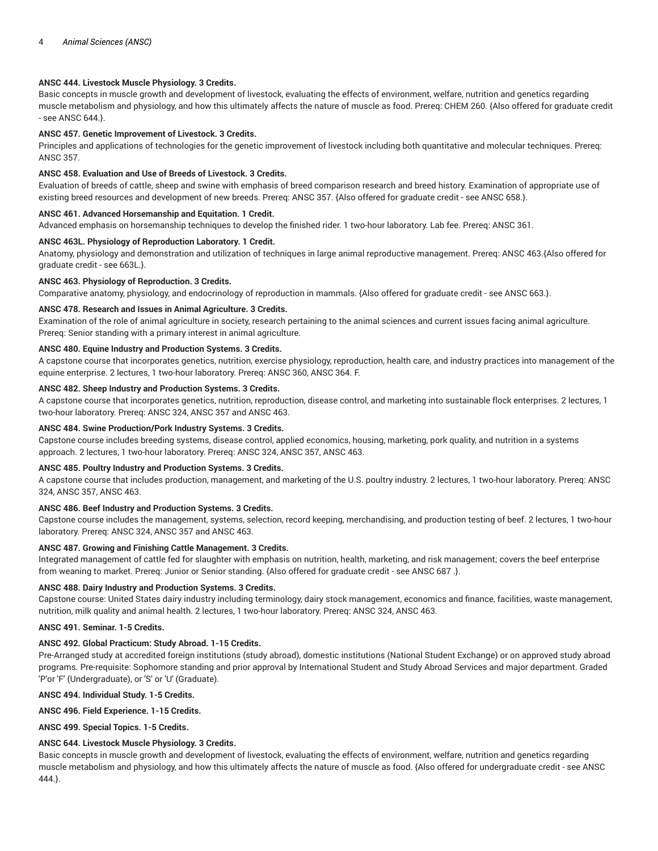## **ANSC 444. Livestock Muscle Physiology. 3 Credits.**

Basic concepts in muscle growth and development of livestock, evaluating the effects of environment, welfare, nutrition and genetics regarding muscle metabolism and physiology, and how this ultimately affects the nature of muscle as food. Prereq: CHEM 260. {Also offered for graduate credit - see ANSC 644.}.

## **ANSC 457. Genetic Improvement of Livestock. 3 Credits.**

Principles and applications of technologies for the genetic improvement of livestock including both quantitative and molecular techniques. Prereq: ANSC 357.

#### **ANSC 458. Evaluation and Use of Breeds of Livestock. 3 Credits.**

Evaluation of breeds of cattle, sheep and swine with emphasis of breed comparison research and breed history. Examination of appropriate use of existing breed resources and development of new breeds. Prereq: ANSC 357. {Also offered for graduate credit - see ANSC 658.}.

## **ANSC 461. Advanced Horsemanship and Equitation. 1 Credit.**

Advanced emphasis on horsemanship techniques to develop the finished rider. 1 two-hour laboratory. Lab fee. Prereq: ANSC 361.

# **ANSC 463L. Physiology of Reproduction Laboratory. 1 Credit.**

Anatomy, physiology and demonstration and utilization of techniques in large animal reproductive management. Prereq: ANSC 463.{Also offered for graduate credit - see 663L.}.

#### **ANSC 463. Physiology of Reproduction. 3 Credits.**

Comparative anatomy, physiology, and endocrinology of reproduction in mammals. {Also offered for graduate credit - see ANSC 663.}.

#### **ANSC 478. Research and Issues in Animal Agriculture. 3 Credits.**

Examination of the role of animal agriculture in society, research pertaining to the animal sciences and current issues facing animal agriculture. Prereq: Senior standing with a primary interest in animal agriculture.

#### **ANSC 480. Equine Industry and Production Systems. 3 Credits.**

A capstone course that incorporates genetics, nutrition, exercise physiology, reproduction, health care, and industry practices into management of the equine enterprise. 2 lectures, 1 two-hour laboratory. Prereq: ANSC 360, ANSC 364. F.

## **ANSC 482. Sheep Industry and Production Systems. 3 Credits.**

A capstone course that incorporates genetics, nutrition, reproduction, disease control, and marketing into sustainable flock enterprises. 2 lectures, 1 two-hour laboratory. Prereq: ANSC 324, ANSC 357 and ANSC 463.

#### **ANSC 484. Swine Production/Pork Industry Systems. 3 Credits.**

Capstone course includes breeding systems, disease control, applied economics, housing, marketing, pork quality, and nutrition in a systems approach. 2 lectures, 1 two-hour laboratory. Prereq: ANSC 324, ANSC 357, ANSC 463.

#### **ANSC 485. Poultry Industry and Production Systems. 3 Credits.**

A capstone course that includes production, management, and marketing of the U.S. poultry industry. 2 lectures, 1 two-hour laboratory. Prereq: ANSC 324, ANSC 357, ANSC 463.

## **ANSC 486. Beef Industry and Production Systems. 3 Credits.**

Capstone course includes the management, systems, selection, record keeping, merchandising, and production testing of beef. 2 lectures, 1 two-hour laboratory. Prereq: ANSC 324, ANSC 357 and ANSC 463.

# **ANSC 487. Growing and Finishing Cattle Management. 3 Credits.**

Integrated management of cattle fed for slaughter with emphasis on nutrition, health, marketing, and risk management; covers the beef enterprise from weaning to market. Prereq: Junior or Senior standing. {Also offered for graduate credit - see ANSC 687 .}.

#### **ANSC 488. Dairy Industry and Production Systems. 3 Credits.**

Capstone course: United States dairy industry including terminology, dairy stock management, economics and finance, facilities, waste management, nutrition, milk quality and animal health. 2 lectures, 1 two-hour laboratory. Prereq: ANSC 324, ANSC 463.

#### **ANSC 491. Seminar. 1-5 Credits.**

#### **ANSC 492. Global Practicum: Study Abroad. 1-15 Credits.**

Pre-Arranged study at accredited foreign institutions (study abroad), domestic institutions (National Student Exchange) or on approved study abroad programs. Pre-requisite: Sophomore standing and prior approval by International Student and Study Abroad Services and major department. Graded 'P'or 'F' (Undergraduate), or 'S' or 'U' (Graduate).

## **ANSC 494. Individual Study. 1-5 Credits.**

**ANSC 496. Field Experience. 1-15 Credits.**

**ANSC 499. Special Topics. 1-5 Credits.**

## **ANSC 644. Livestock Muscle Physiology. 3 Credits.**

Basic concepts in muscle growth and development of livestock, evaluating the effects of environment, welfare, nutrition and genetics regarding muscle metabolism and physiology, and how this ultimately affects the nature of muscle as food. {Also offered for undergraduate credit - see ANSC 444.}.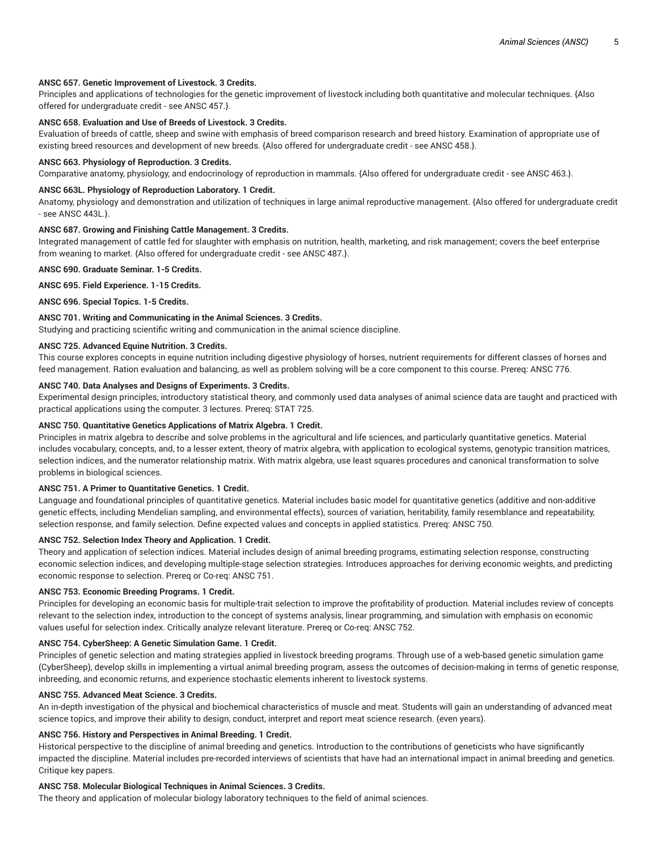#### **ANSC 657. Genetic Improvement of Livestock. 3 Credits.**

Principles and applications of technologies for the genetic improvement of livestock including both quantitative and molecular techniques. {Also offered for undergraduate credit - see ANSC 457.}.

## **ANSC 658. Evaluation and Use of Breeds of Livestock. 3 Credits.**

Evaluation of breeds of cattle, sheep and swine with emphasis of breed comparison research and breed history. Examination of appropriate use of existing breed resources and development of new breeds. {Also offered for undergraduate credit - see ANSC 458.}.

#### **ANSC 663. Physiology of Reproduction. 3 Credits.**

Comparative anatomy, physiology, and endocrinology of reproduction in mammals. {Also offered for undergraduate credit - see ANSC 463.}.

## **ANSC 663L. Physiology of Reproduction Laboratory. 1 Credit.**

Anatomy, physiology and demonstration and utilization of techniques in large animal reproductive management. {Also offered for undergraduate credit - see ANSC 443L.}.

## **ANSC 687. Growing and Finishing Cattle Management. 3 Credits.**

Integrated management of cattle fed for slaughter with emphasis on nutrition, health, marketing, and risk management; covers the beef enterprise from weaning to market. {Also offered for undergraduate credit - see ANSC 487.}.

**ANSC 690. Graduate Seminar. 1-5 Credits.**

**ANSC 695. Field Experience. 1-15 Credits.**

**ANSC 696. Special Topics. 1-5 Credits.**

# **ANSC 701. Writing and Communicating in the Animal Sciences. 3 Credits.**

Studying and practicing scientific writing and communication in the animal science discipline.

#### **ANSC 725. Advanced Equine Nutrition. 3 Credits.**

This course explores concepts in equine nutrition including digestive physiology of horses, nutrient requirements for different classes of horses and feed management. Ration evaluation and balancing, as well as problem solving will be a core component to this course. Prereq: ANSC 776.

#### **ANSC 740. Data Analyses and Designs of Experiments. 3 Credits.**

Experimental design principles, introductory statistical theory, and commonly used data analyses of animal science data are taught and practiced with practical applications using the computer. 3 lectures. Prereq: STAT 725.

## **ANSC 750. Quantitative Genetics Applications of Matrix Algebra. 1 Credit.**

Principles in matrix algebra to describe and solve problems in the agricultural and life sciences, and particularly quantitative genetics. Material includes vocabulary, concepts, and, to a lesser extent, theory of matrix algebra, with application to ecological systems, genotypic transition matrices, selection indices, and the numerator relationship matrix. With matrix algebra, use least squares procedures and canonical transformation to solve problems in biological sciences.

#### **ANSC 751. A Primer to Quantitative Genetics. 1 Credit.**

Language and foundational principles of quantitative genetics. Material includes basic model for quantitative genetics (additive and non-additive genetic effects, including Mendelian sampling, and environmental effects), sources of variation, heritability, family resemblance and repeatability, selection response, and family selection. Define expected values and concepts in applied statistics. Prereq: ANSC 750.

#### **ANSC 752. Selection Index Theory and Application. 1 Credit.**

Theory and application of selection indices. Material includes design of animal breeding programs, estimating selection response, constructing economic selection indices, and developing multiple-stage selection strategies. Introduces approaches for deriving economic weights, and predicting economic response to selection. Prereq or Co-req: ANSC 751.

#### **ANSC 753. Economic Breeding Programs. 1 Credit.**

Principles for developing an economic basis for multiple-trait selection to improve the profitability of production. Material includes review of concepts relevant to the selection index, introduction to the concept of systems analysis, linear programming, and simulation with emphasis on economic values useful for selection index. Critically analyze relevant literature. Prereq or Co-req: ANSC 752.

#### **ANSC 754. CyberSheep: A Genetic Simulation Game. 1 Credit.**

Principles of genetic selection and mating strategies applied in livestock breeding programs. Through use of a web-based genetic simulation game (CyberSheep), develop skills in implementing a virtual animal breeding program, assess the outcomes of decision-making in terms of genetic response, inbreeding, and economic returns, and experience stochastic elements inherent to livestock systems.

#### **ANSC 755. Advanced Meat Science. 3 Credits.**

An in-depth investigation of the physical and biochemical characteristics of muscle and meat. Students will gain an understanding of advanced meat science topics, and improve their ability to design, conduct, interpret and report meat science research. (even years).

## **ANSC 756. History and Perspectives in Animal Breeding. 1 Credit.**

Historical perspective to the discipline of animal breeding and genetics. Introduction to the contributions of geneticists who have significantly impacted the discipline. Material includes pre-recorded interviews of scientists that have had an international impact in animal breeding and genetics. Critique key papers.

#### **ANSC 758. Molecular Biological Techniques in Animal Sciences. 3 Credits.**

The theory and application of molecular biology laboratory techniques to the field of animal sciences.